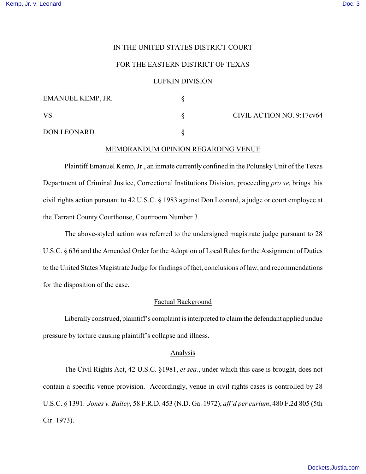## IN THE UNITED STATES DISTRICT COURT

# FOR THE EASTERN DISTRICT OF TEXAS

#### LUFKIN DIVISION

| EMANUEL KEMP, JR.  |                           |
|--------------------|---------------------------|
| VS                 | CIVIL ACTION NO. 9:17cv64 |
| <b>DON LEONARD</b> |                           |

### MEMORANDUM OPINION REGARDING VENUE

Plaintiff Emanuel Kemp, Jr., an inmate currently confined in the Polunsky Unit of the Texas Department of Criminal Justice, Correctional Institutions Division, proceeding *pro se*, brings this civil rights action pursuant to 42 U.S.C. § 1983 against Don Leonard, a judge or court employee at the Tarrant County Courthouse, Courtroom Number 3.

The above-styled action was referred to the undersigned magistrate judge pursuant to 28 U.S.C. § 636 and the Amended Order for the Adoption of Local Rules for the Assignment of Duties to the United States Magistrate Judge for findings of fact, conclusions of law, and recommendations for the disposition of the case.

### Factual Background

Liberally construed, plaintiff's complaint is interpreted to claim the defendant applied undue pressure by torture causing plaintiff's collapse and illness.

# Analysis

The Civil Rights Act, 42 U.S.C. §1981, *et seq.*, under which this case is brought, does not contain a specific venue provision. Accordingly, venue in civil rights cases is controlled by 28 U.S.C. § 1391. *Jones v. Bailey*, 58 F.R.D. 453 (N.D. Ga. 1972), *aff'd per curium*, 480 F.2d 805 (5th Cir. 1973).